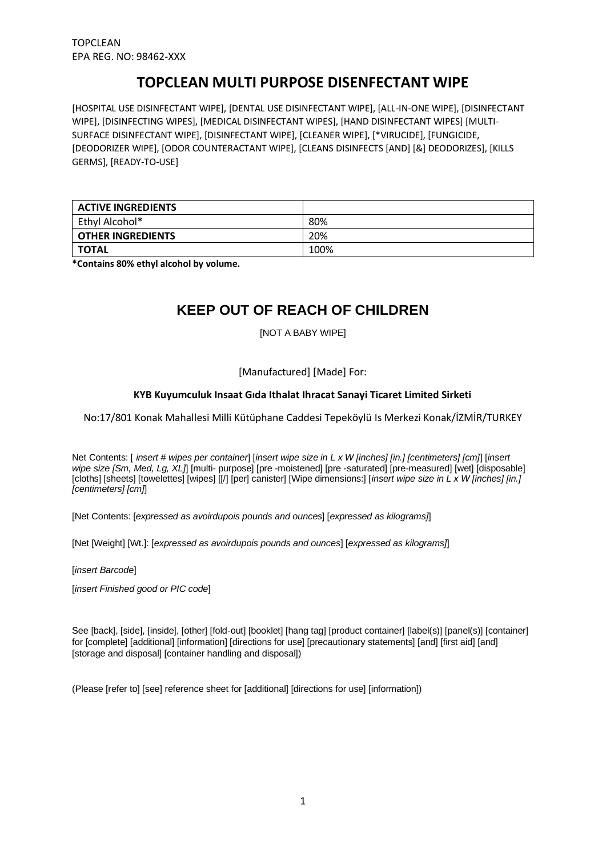# **TOPCLEAN MULTI PURPOSE DISENFECTANT WIPE**

[HOSPITAL USE DISINFECTANT WIPE], [DENTAL USE DISINFECTANT WIPE], [ALL-IN-ONE WIPE], [DISINFECTANT WIPE], [DISINFECTING WIPES], [MEDICAL DISINFECTANT WIPES], [HAND DISINFECTANT WIPES] [MULTI-SURFACE DISINFECTANT WIPE], [DISINFECTANT WIPE], [CLEANER WIPE], [\*VIRUCIDE], [FUNGICIDE, [DEODORIZER WIPE], [ODOR COUNTERACTANT WIPE], [CLEANS DISINFECTS [AND] [&] DEODORIZES], [KILLS GERMS], [READY-TO-USE]

| <b>ACTIVE INGREDIENTS</b> |      |
|---------------------------|------|
| Ethyl Alcohol*            | 80%  |
| <b>OTHER INGREDIENTS</b>  | 20%  |
| TOTAL                     | 100% |

**\*Contains 80% ethyl alcohol by volume.**

# **KEEP OUT OF REACH OF CHILDREN**

[NOT A BABY WIPE]

## [Manufactured] [Made] For:

## **KYB Kuyumculuk Insaat Gıda Ithalat Ihracat Sanayi Ticaret Limited Sirketi**

No:17/801 Konak Mahallesi Milli Kütüphane Caddesi Tepeköylü Is Merkezi Konak/İZMİR/TURKEY

Net Contents: [ *insert # wipes per container*] [*insert wipe size in L x W [inches] [in.] [centimeters] [cm]*] [*insert wipe size [Sm, Med, Lg, XL]*] [multi- purpose] [pre -moistened] [pre -saturated] [pre-measured] [wet] [disposable] [cloths] [sheets] [towelettes] [wipes] [[/] [per] canister] [Wipe dimensions:] [*insert wipe size in L x W [inches] [in.] [centimeters] [cm]*]

[Net Contents: [*expressed as avoirdupois pounds and ounces*] [*expressed as kilograms]*]

[Net [Weight] [Wt.]: [*expressed as avoirdupois pounds and ounces*] [*expressed as kilograms]*]

[*insert Barcode*]

[*insert Finished good or PIC code*]

See [back], [side], [inside], [other] [fold-out] [booklet] [hang tag] [product container] [label(s)] [panel(s)] [container] for [complete] [additional] [information] [directions for use] [precautionary statements] [and] [first aid] [and] [storage and disposal] [container handling and disposal])

(Please [refer to] [see] reference sheet for [additional] [directions for use] [information])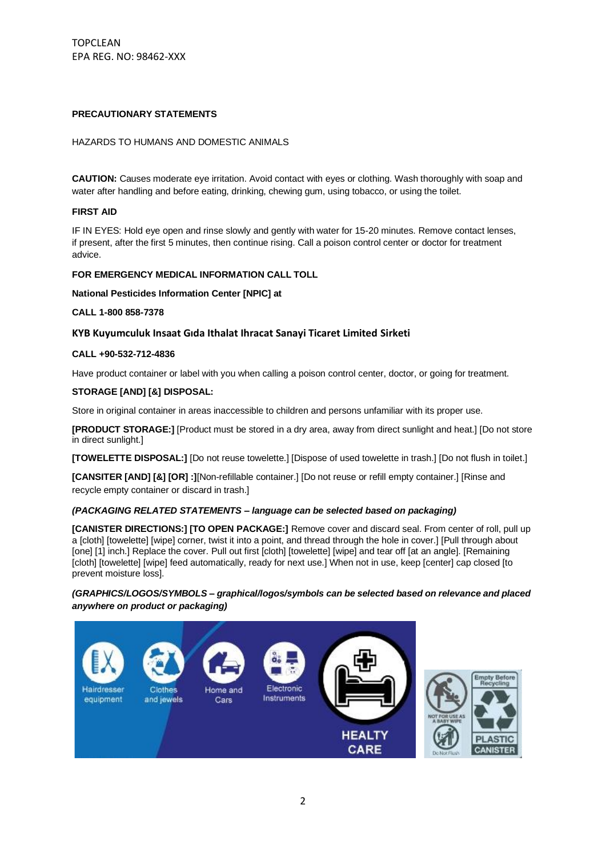## **PRECAUTIONARY STATEMENTS**

## HAZARDS TO HUMANS AND DOMESTIC ANIMALS

**CAUTION:** Causes moderate eye irritation. Avoid contact with eyes or clothing. Wash thoroughly with soap and water after handling and before eating, drinking, chewing gum, using tobacco, or using the toilet.

## **FIRST AID**

IF IN EYES: Hold eye open and rinse slowly and gently with water for 15-20 minutes. Remove contact lenses, if present, after the first 5 minutes, then continue rising. Call a poison control center or doctor for treatment advice.

#### **FOR EMERGENCY MEDICAL INFORMATION CALL TOLL**

**National Pesticides Information Center [NPIC] at**

**CALL 1-800 858-7378**

### **KYB Kuyumculuk Insaat Gıda Ithalat Ihracat Sanayi Ticaret Limited Sirketi**

#### **CALL +90-532-712-4836**

Have product container or label with you when calling a poison control center, doctor, or going for treatment.

### **STORAGE [AND] [&] DISPOSAL:**

Store in original container in areas inaccessible to children and persons unfamiliar with its proper use.

**[PRODUCT STORAGE:]** [Product must be stored in a dry area, away from direct sunlight and heat.] [Do not store in direct sunlight.]

**[TOWELETTE DISPOSAL:]** [Do not reuse towelette.] [Dispose of used towelette in trash.] [Do not flush in toilet.]

**[CANSITER [AND] [&] [OR] :]**[Non-refillable container.] [Do not reuse or refill empty container.] [Rinse and recycle empty container or discard in trash.]

#### *(PACKAGING RELATED STATEMENTS – language can be selected based on packaging)*

**[CANISTER DIRECTIONS:] [TO OPEN PACKAGE:]** Remove cover and discard seal. From center of roll, pull up a [cloth] [towelette] [wipe] corner, twist it into a point, and thread through the hole in cover.] [Pull through about [one] [1] inch.] Replace the cover. Pull out first [cloth] [towelette] [wipe] and tear off [at an angle]. [Remaining [cloth] [towelette] [wipe] feed automatically, ready for next use.] When not in use, keep [center] cap closed [to prevent moisture loss].

*(GRAPHICS/LOGOS/SYMBOLS – graphical/logos/symbols can be selected based on relevance and placed anywhere on product or packaging)*

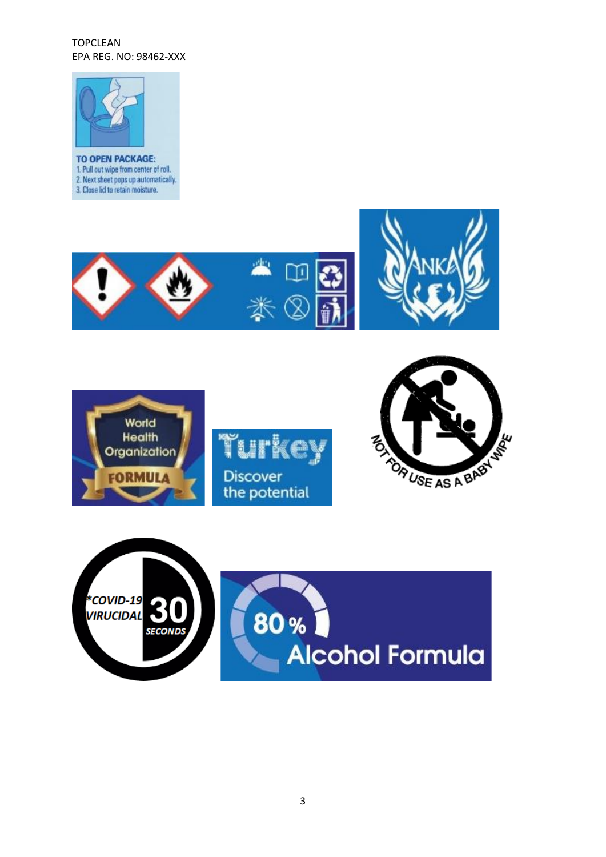

1. Pull out wipe from center of roll. 2. Next sheet pops up automatically. 3. Close lid to retain moisture.









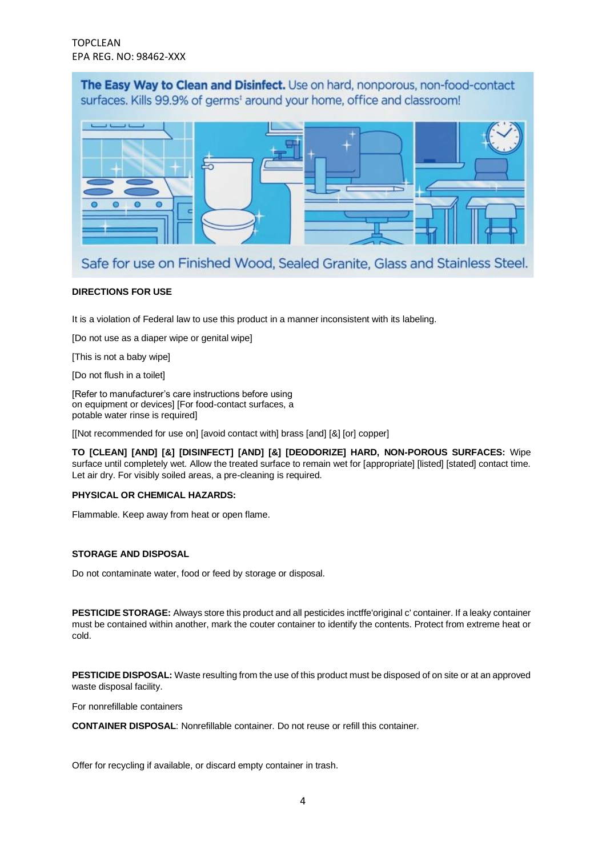The Easy Way to Clean and Disinfect. Use on hard, nonporous, non-food-contact surfaces. Kills 99.9% of germs<sup>1</sup> around your home, office and classroom!



Safe for use on Finished Wood, Sealed Granite, Glass and Stainless Steel.

## **DIRECTIONS FOR USE**

It is a violation of Federal law to use this product in a manner inconsistent with its labeling.

[Do not use as a diaper wipe or genital wipe]

[This is not a baby wipe]

[Do not flush in a toilet]

[Refer to manufacturer's care instructions before using on equipment or devices] [For food-contact surfaces, a potable water rinse is required]

[[Not recommended for use on] [avoid contact with] brass [and] [&] [or] copper]

**TO [CLEAN] [AND] [&] [DISINFECT] [AND] [&] [DEODORIZE] HARD, NON-POROUS SURFACES:** Wipe surface until completely wet. Allow the treated surface to remain wet for [appropriate] [listed] [stated] contact time. Let air dry. For visibly soiled areas, a pre-cleaning is required.

## **PHYSICAL OR CHEMICAL HAZARDS:**

Flammable. Keep away from heat or open flame.

## **STORAGE AND DISPOSAL**

Do not contaminate water, food or feed by storage or disposal.

**PESTICIDE STORAGE:** Always store this product and all pesticides inctffe'original c' container. If a leaky container must be contained within another, mark the couter container to identify the contents. Protect from extreme heat or cold.

**PESTICIDE DISPOSAL:** Waste resulting from the use of this product must be disposed of on site or at an approved waste disposal facility.

For nonrefillable containers

**CONTAINER DISPOSAL**: Nonrefillable container. Do not reuse or refill this container.

Offer for recycling if available, or discard empty container in trash.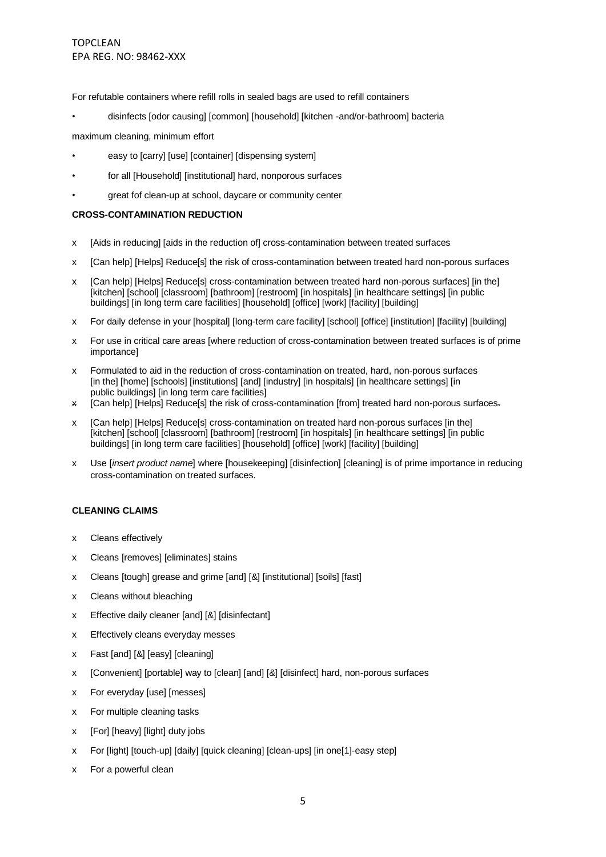For refutable containers where refill rolls in sealed bags are used to refill containers

• disinfects [odor causing] [common] [household] [kitchen -and/or-bathroom] bacteria

maximum cleaning, minimum effort

- easy to [carry] [use] [container] [dispensing system]
- for all [Household] [institutional] hard, nonporous surfaces
- great fof clean-up at school, daycare or community center

### **CROSS-CONTAMINATION REDUCTION**

- x [Aids in reducing] [aids in the reduction of] cross-contamination between treated surfaces
- x [Can help] [Helps] Reduce[s] the risk of cross-contamination between treated hard non-porous surfaces
- x [Can help] [Helps] Reduce[s] cross-contamination between treated hard non-porous surfaces] [in the] [kitchen] [school] [classroom] [bathroom] [restroom] [in hospitals] [in healthcare settings] [in public buildings] [in long term care facilities] [household] [office] [work] [facility] [building]
- x For daily defense in your [hospital] [long-term care facility] [school] [office] [institution] [facility] [building]
- x For use in critical care areas [where reduction of cross-contamination between treated surfaces is of prime importance]
- x Formulated to aid in the reduction of cross-contamination on treated, hard, non-porous surfaces [in the] [home] [schools] [institutions] [and] [industry] [in hospitals] [in healthcare settings] [in public buildings] [in long term care facilities]
- x [Can help] [Helps] Reduce[s] the risk of cross-contamination [from] treated hard non-porous surfaces.
- x [Can help] [Helps] Reduce[s] cross-contamination on treated hard non-porous surfaces [in the] [kitchen] [school] [classroom] [bathroom] [restroom] [in hospitals] [in healthcare settings] [in public buildings] [in long term care facilities] [household] [office] [work] [facility] [building]
- x Use [*insert product name*] where [housekeeping] [disinfection] [cleaning] is of prime importance in reducing cross-contamination on treated surfaces.

## **CLEANING CLAIMS**

- x Cleans effectively
- x Cleans [removes] [eliminates] stains
- x Cleans [tough] grease and grime [and] [&] [institutional] [soils] [fast]
- x Cleans without bleaching
- x Effective daily cleaner [and] [&] [disinfectant]
- x Effectively cleans everyday messes
- x Fast [and] [&] [easy] [cleaning]
- x [Convenient] [portable] way to [clean] [and] [&] [disinfect] hard, non-porous surfaces
- x For everyday [use] [messes]
- x For multiple cleaning tasks
- x [For] [heavy] [light] duty jobs
- x For [light] [touch-up] [daily] [quick cleaning] [clean-ups] [in one[1]-easy step]
- x For a powerful clean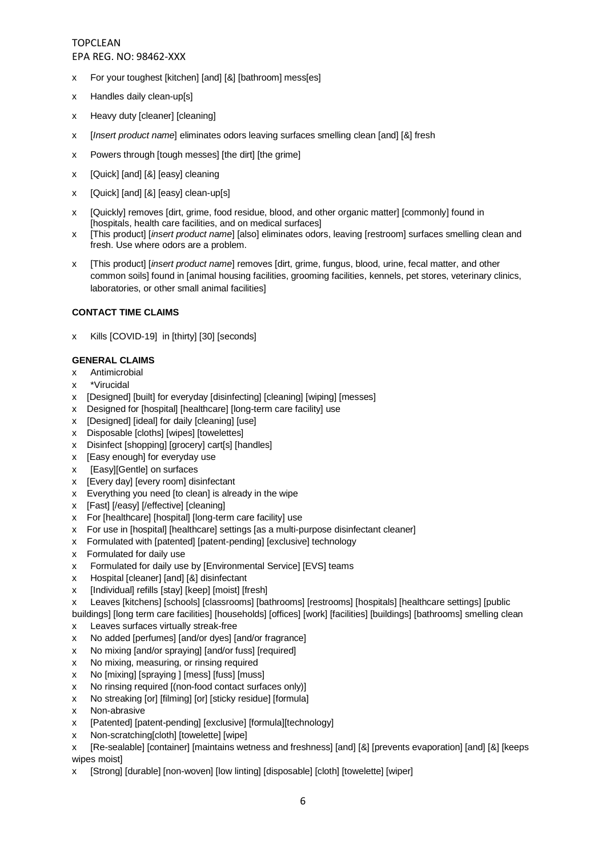- x For your toughest [kitchen] [and] [&] [bathroom] mess[es]
- x Handles daily clean-up[s]
- x Heavy duty [cleaner] [cleaning]
- x [*Insert product name*] eliminates odors leaving surfaces smelling clean [and] [&] fresh
- x Powers through [tough messes] [the dirt] [the grime]
- x [Quick] [and] [&] [easy] cleaning
- x [Quick] [and] [&] [easy] clean-up[s]
- x [Quickly] removes [dirt, grime, food residue, blood, and other organic matter] [commonly] found in [hospitals, health care facilities, and on medical surfaces]
- x [This product] [*insert product name*] [also] eliminates odors, leaving [restroom] surfaces smelling clean and fresh. Use where odors are a problem.
- x [This product] [*insert product name*] removes [dirt, grime, fungus, blood, urine, fecal matter, and other common soils] found in [animal housing facilities, grooming facilities, kennels, pet stores, veterinary clinics, laboratories, or other small animal facilities]

## **CONTACT TIME CLAIMS**

x Kills [COVID-19] in [thirty] [30] [seconds]

## **GENERAL CLAIMS**

- x Antimicrobial
- x \*Virucidal
- x [Designed] [built] for everyday [disinfecting] [cleaning] [wiping] [messes]
- x Designed for [hospital] [healthcare] [long-term care facility] use
- x [Designed] [ideal] for daily [cleaning] [use]
- x Disposable [cloths] [wipes] [towelettes]
- x Disinfect [shopping] [grocery] cart[s] [handles]
- x **[Easy enough]** for everyday use
- x [Easy][Gentle] on surfaces
- x [Every day] [every room] disinfectant
- x Everything you need [to clean] is already in the wipe
- x [Fast] [/easy] [/effective] [cleaning]
- x For [healthcare] [hospital] [long-term care facility] use
- x For use in [hospital] [healthcare] settings [as a multi-purpose disinfectant cleaner]
- x Formulated with [patented] [patent-pending] [exclusive] technology
- x Formulated for daily use
- x Formulated for daily use by [Environmental Service] [EVS] teams
- x Hospital [cleaner] [and] [&] disinfectant
- x [Individual] refills [stay] [keep] [moist] [fresh]
- x Leaves [kitchens] [schools] [classrooms] [bathrooms] [restrooms] [hospitals] [healthcare settings] [public

buildings] [long term care facilities] [households] [offices] [work] [facilities] [buildings] [bathrooms] smelling clean x Leaves surfaces virtually streak-free

- x No added [perfumes] [and/or dyes] [and/or fragrance]
- x No mixing [and/or spraying] [and/or fuss] [required]
- x No mixing, measuring, or rinsing required
- x No [mixing] [spraying ] [mess] [fuss] [muss]
- x No rinsing required [(non-food contact surfaces only)]
- x No streaking [or] [filming] [or] [sticky residue] [formula]
- x Non-abrasive
- x [Patented] [patent-pending] [exclusive] [formula][technology]
- x Non-scratching[cloth] [towelette] [wipe]

x [Re-sealable] [container] [maintains wetness and freshness] [and] [&] [prevents evaporation] [and] [&] [keeps wipes moist]

x [Strong] [durable] [non-woven] [low linting] [disposable] [cloth] [towelette] [wiper]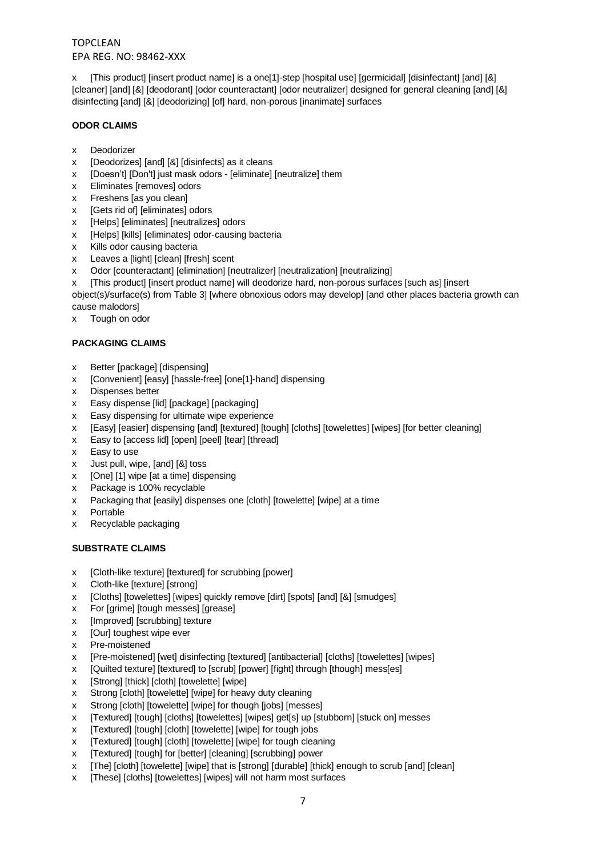x [This product] [insert product name] is a one[1]-step [hospital use] [germicidal] [disinfectant] [and] [&] [cleaner] [and] [&] [deodorant] [odor counteractant] [odor neutralizer] designed for general cleaning [and] [&] disinfecting [and] [&] [deodorizing] [of] hard, non-porous [inanimate] surfaces

## **ODOR CLAIMS**

- x Deodorizer
- x [Deodorizes] [and] [&] [disinfects] as it cleans
- x [Doesn't] [Don't] just mask odors [eliminate] [neutralize] them
- x Eliminates [removes] odors
- x Freshens [as you clean]
- x [Gets rid of] [eliminates] odors
- x [Helps] [eliminates] [neutralizes] odors
- x [Helps] [kills] [eliminates] odor-causing bacteria
- x Kills odor causing bacteria
- x Leaves a [light] [clean] [fresh] scent
- x Odor [counteractant] [elimination] [neutralizer] [neutralization] [neutralizing]
- x [This product] [insert product name] will deodorize hard, non-porous surfaces [such as] [insert

object(s)/surface(s) from Table 3] [where obnoxious odors may develop] [and other places bacteria growth can cause malodors]

x Tough on odor

## **PACKAGING CLAIMS**

- x Better [package] [dispensing]
- x [Convenient] [easy] [hassle-free] [one[1]-hand] dispensing
- x Dispenses better
- x Easy dispense [lid] [package] [packaging]
- x Easy dispensing for ultimate wipe experience
- x [Easy] [easier] dispensing [and] [textured] [tough] [cloths] [towelettes] [wipes] [for better cleaning]
- x Easy to [access lid] [open] [peel] [tear] [thread]
- x Easy to use
- x Just pull, wipe, [and] [&] toss
- x [One] [1] wipe [at a time] dispensing
- x Package is 100% recyclable
- x Packaging that [easily] dispenses one [cloth] [towelette] [wipe] at a time
- x Portable
- x Recyclable packaging

## **SUBSTRATE CLAIMS**

- x [Cloth-like texture] [textured] for scrubbing [power]
- x Cloth-like [texture] [strong]
- x [Cloths] [towelettes] [wipes] quickly remove [dirt] [spots] [and] [&] [smudges]
- x For [grime] [tough messes] [grease]
- x [Improved] [scrubbing] texture
- x [Our] toughest wipe ever
- x Pre-moistened
- x [Pre-moistened] [wet] disinfecting [textured] [antibacterial] [cloths] [towelettes] [wipes]
- x [Quilted texture] [textured] to [scrub] [power] [fight] through [though] mess[es]
- x [Strong] [thick] [cloth] [towelette] [wipe]
- x Strong [cloth] [towelette] [wipe] for heavy duty cleaning
- x Strong [cloth] [towelette] [wipe] for though [jobs] [messes]
- x [Textured] [tough] [cloths] [towelettes] [wipes] get[s] up [stubborn] [stuck on] messes
- x [Textured] [tough] [cloth] [towelette] [wipe] for tough jobs
- x [Textured] [tough] [cloth] [towelette] [wipe] for tough cleaning
- x [Textured] [tough] for [better] [cleaning] [scrubbing] power
- x [The] [cloth] [towelette] [wipe] that is [strong] [durable] [thick] enough to scrub [and] [clean]
- x [These] [cloths] [towelettes] [wipes] will not harm most surfaces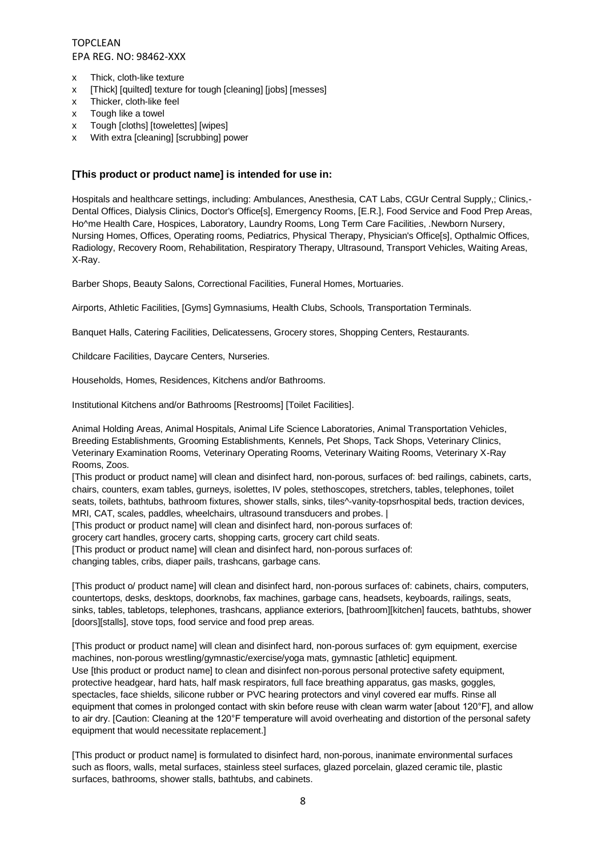- x Thick, cloth-like texture
- x [Thick] [quilted] texture for tough [cleaning] [jobs] [messes]
- x Thicker, cloth-like feel
- x Tough like a towel
- x Tough [cloths] [towelettes] [wipes]
- x With extra [cleaning] [scrubbing] power

## **[This product or product name] is intended for use in:**

Hospitals and healthcare settings, including: Ambulances, Anesthesia, CAT Labs, CGUr Central Supply,; Clinics,- Dental Offices, Dialysis Clinics, Doctor's Office[s], Emergency Rooms, [E.R.], Food Service and Food Prep Areas, Ho^me Health Care, Hospices, Laboratory, Laundry Rooms, Long Term Care Facilities, .Newborn Nursery, Nursing Homes, Offices, Operating rooms, Pediatrics, Physical Therapy, Physician's Office[s], Opthalmic Offices, Radiology, Recovery Room, Rehabilitation, Respiratory Therapy, Ultrasound, Transport Vehicles, Waiting Areas, X-Ray.

Barber Shops, Beauty Salons, Correctional Facilities, Funeral Homes, Mortuaries.

Airports, Athletic Facilities, [Gyms] Gymnasiums, Health Clubs, Schools, Transportation Terminals.

Banquet Halls, Catering Facilities, Delicatessens, Grocery stores, Shopping Centers, Restaurants.

Childcare Facilities, Daycare Centers, Nurseries.

Households, Homes, Residences, Kitchens and/or Bathrooms.

Institutional Kitchens and/or Bathrooms [Restrooms] [Toilet Facilities].

Animal Holding Areas, Animal Hospitals, Animal Life Science Laboratories, Animal Transportation Vehicles, Breeding Establishments, Grooming Establishments, Kennels, Pet Shops, Tack Shops, Veterinary Clinics, Veterinary Examination Rooms, Veterinary Operating Rooms, Veterinary Waiting Rooms, Veterinary X-Ray Rooms, Zoos.

[This product or product name] will clean and disinfect hard, non-porous, surfaces of: bed railings, cabinets, carts, chairs, counters, exam tables, gurneys, isolettes, IV poles, stethoscopes, stretchers, tables, telephones, toilet seats, toilets, bathtubs, bathroom fixtures, shower stalls, sinks, tiles^-vanity-topsrhospital beds, traction devices, MRI, CAT, scales, paddles, wheelchairs, ultrasound transducers and probes. |

[This product or product name] will clean and disinfect hard, non-porous surfaces of:

grocery cart handles, grocery carts, shopping carts, grocery cart child seats.

[This product or product name] will clean and disinfect hard, non-porous surfaces of:

changing tables, cribs, diaper pails, trashcans, garbage cans.

[This product o/ product name] will clean and disinfect hard, non-porous surfaces of: cabinets, chairs, computers, countertops, desks, desktops, doorknobs, fax machines, garbage cans, headsets, keyboards, railings, seats, sinks, tables, tabletops, telephones, trashcans, appliance exteriors, [bathroom][kitchen] faucets, bathtubs, shower [doors][stalls], stove tops, food service and food prep areas.

[This product or product name] will clean and disinfect hard, non-porous surfaces of: gym equipment, exercise machines, non-porous wrestling/gymnastic/exercise/yoga mats, gymnastic [athletic] equipment. Use [this product or product name] to clean and disinfect non-porous personal protective safety equipment, protective headgear, hard hats, half mask respirators, full face breathing apparatus, gas masks, goggles, spectacles, face shields, silicone rubber or PVC hearing protectors and vinyl covered ear muffs. Rinse all equipment that comes in prolonged contact with skin before reuse with clean warm water [about 120°F], and allow to air dry. [Caution: Cleaning at the 120°F temperature will avoid overheating and distortion of the personal safety equipment that would necessitate replacement.]

[This product or product name] is formulated to disinfect hard, non-porous, inanimate environmental surfaces such as floors, walls, metal surfaces, stainless steel surfaces, glazed porcelain, glazed ceramic tile, plastic surfaces, bathrooms, shower stalls, bathtubs, and cabinets.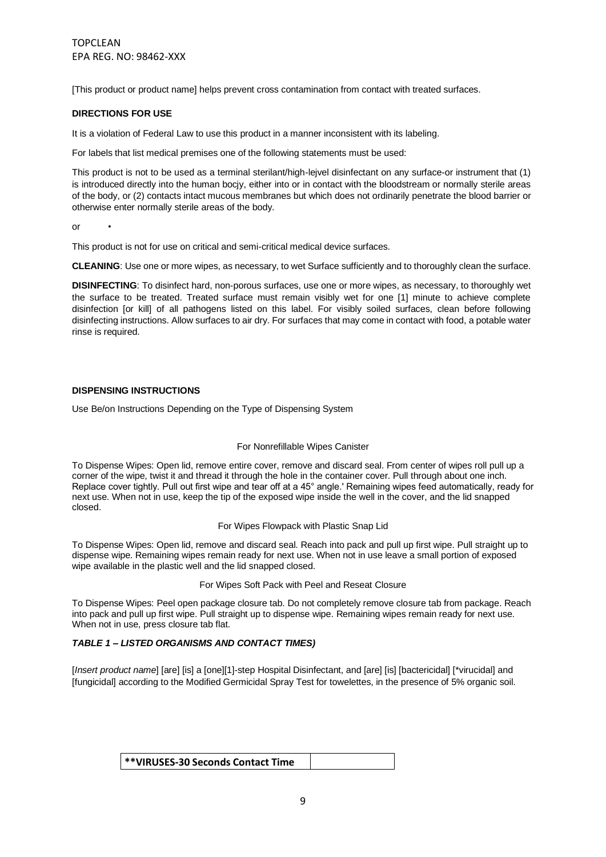[This product or product name] helps prevent cross contamination from contact with treated surfaces.

### **DIRECTIONS FOR USE**

It is a violation of Federal Law to use this product in a manner inconsistent with its labeling.

For labels that list medical premises one of the following statements must be used:

This product is not to be used as a terminal sterilant/high-lejvel disinfectant on any surface-or instrument that (1) is introduced directly into the human bocjy, either into or in contact with the bloodstream or normally sterile areas of the body, or (2) contacts intact mucous membranes but which does not ordinarily penetrate the blood barrier or otherwise enter normally sterile areas of the body.

 $\alpha$ r

This product is not for use on critical and semi-critical medical device surfaces.

**CLEANING**: Use one or more wipes, as necessary, to wet Surface sufficiently and to thoroughly clean the surface.

**DISINFECTING**: To disinfect hard, non-porous surfaces, use one or more wipes, as necessary, to thoroughly wet the surface to be treated. Treated surface must remain visibly wet for one [1] minute to achieve complete disinfection [or kill] of all pathogens listed on this label. For visibly soiled surfaces, clean before following disinfecting instructions. Allow surfaces to air dry. For surfaces that may come in contact with food, a potable water rinse is required.

#### **DISPENSING INSTRUCTIONS**

Use Be/on Instructions Depending on the Type of Dispensing System

#### For Nonrefillable Wipes Canister

To Dispense Wipes: Open lid, remove entire cover, remove and discard seal. From center of wipes roll pull up a corner of the wipe, twist it and thread it through the hole in the container cover. Pull through about one inch. Replace cover tightly. Pull out first wipe and tear off at a 45° angle.' Remaining wipes feed automatically, ready for next use. When not in use, keep the tip of the exposed wipe inside the well in the cover, and the lid snapped closed.

#### For Wipes Flowpack with Plastic Snap Lid

To Dispense Wipes: Open lid, remove and discard seal. Reach into pack and pull up first wipe. Pull straight up to dispense wipe. Remaining wipes remain ready for next use. When not in use leave a small portion of exposed wipe available in the plastic well and the lid snapped closed.

## For Wipes Soft Pack with Peel and Reseat Closure

To Dispense Wipes: Peel open package closure tab. Do not completely remove closure tab from package. Reach into pack and pull up first wipe. Pull straight up to dispense wipe. Remaining wipes remain ready for next use. When not in use, press closure tab flat.

#### *TABLE 1 – LISTED ORGANISMS AND CONTACT TIMES)*

[*Insert product name*] [are] [is] a [one][1]-step Hospital Disinfectant, and [are] [is] [bactericidal] [\*virucidal] and [fungicidal] according to the Modified Germicidal Spray Test for towelettes, in the presence of 5% organic soil.

**\*\*VIRUSES-30 Seconds Contact Time**